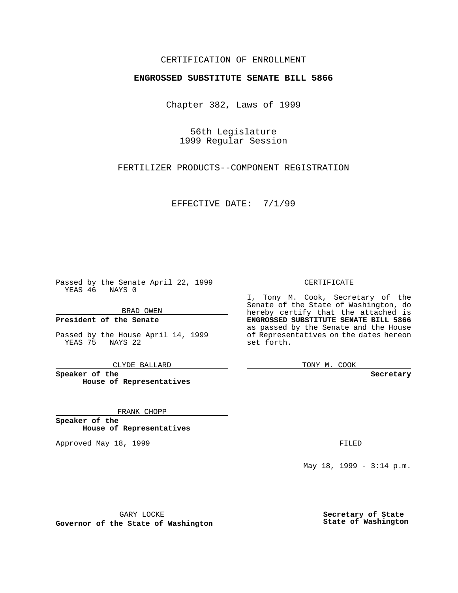### CERTIFICATION OF ENROLLMENT

# **ENGROSSED SUBSTITUTE SENATE BILL 5866**

Chapter 382, Laws of 1999

56th Legislature 1999 Regular Session

FERTILIZER PRODUCTS--COMPONENT REGISTRATION

EFFECTIVE DATE: 7/1/99

Passed by the Senate April 22, 1999 YEAS 46 NAYS 0

BRAD OWEN

**President of the Senate**

Passed by the House April 14, 1999 YEAS 75 NAYS 22

CLYDE BALLARD

**Speaker of the House of Representatives**

FRANK CHOPP

**Speaker of the House of Representatives**

Approved May 18, 1999 **FILED** 

CERTIFICATE

I, Tony M. Cook, Secretary of the Senate of the State of Washington, do hereby certify that the attached is **ENGROSSED SUBSTITUTE SENATE BILL 5866** as passed by the Senate and the House of Representatives on the dates hereon set forth.

TONY M. COOK

**Secretary**

May 18, 1999 - 3:14 p.m.

GARY LOCKE

**Governor of the State of Washington**

**Secretary of State State of Washington**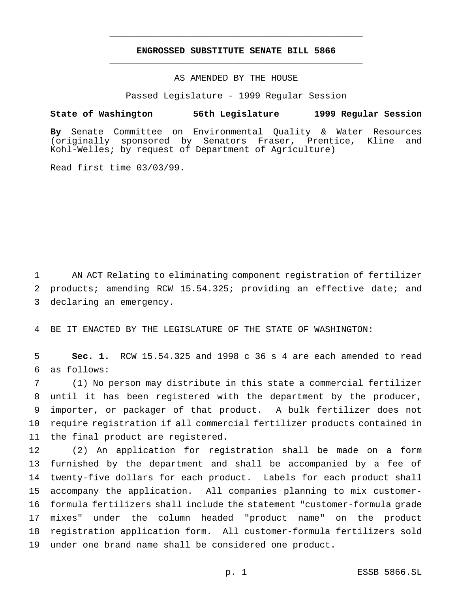## **ENGROSSED SUBSTITUTE SENATE BILL 5866** \_\_\_\_\_\_\_\_\_\_\_\_\_\_\_\_\_\_\_\_\_\_\_\_\_\_\_\_\_\_\_\_\_\_\_\_\_\_\_\_\_\_\_\_\_\_\_

\_\_\_\_\_\_\_\_\_\_\_\_\_\_\_\_\_\_\_\_\_\_\_\_\_\_\_\_\_\_\_\_\_\_\_\_\_\_\_\_\_\_\_\_\_\_\_

#### AS AMENDED BY THE HOUSE

Passed Legislature - 1999 Regular Session

#### **State of Washington 56th Legislature 1999 Regular Session**

**By** Senate Committee on Environmental Quality & Water Resources (originally sponsored by Senators Fraser, Prentice, Kline and Kohl-Welles; by request of Department of Agriculture)

Read first time 03/03/99.

 AN ACT Relating to eliminating component registration of fertilizer products; amending RCW 15.54.325; providing an effective date; and declaring an emergency.

BE IT ENACTED BY THE LEGISLATURE OF THE STATE OF WASHINGTON:

 **Sec. 1.** RCW 15.54.325 and 1998 c 36 s 4 are each amended to read as follows:

 (1) No person may distribute in this state a commercial fertilizer until it has been registered with the department by the producer, importer, or packager of that product. A bulk fertilizer does not require registration if all commercial fertilizer products contained in the final product are registered.

 (2) An application for registration shall be made on a form furnished by the department and shall be accompanied by a fee of twenty-five dollars for each product. Labels for each product shall accompany the application. All companies planning to mix customer- formula fertilizers shall include the statement "customer-formula grade mixes" under the column headed "product name" on the product registration application form. All customer-formula fertilizers sold under one brand name shall be considered one product.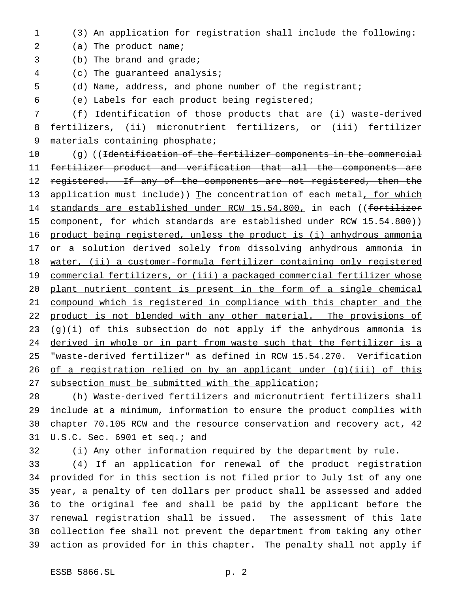(3) An application for registration shall include the following:

2 (a) The product name;

- (b) The brand and grade;
- (c) The guaranteed analysis;
- (d) Name, address, and phone number of the registrant;
- (e) Labels for each product being registered;

 (f) Identification of those products that are (i) waste-derived fertilizers, (ii) micronutrient fertilizers, or (iii) fertilizer materials containing phosphate;

10 (g) ((<del>Identification of the fertilizer components in the commercial</del> fertilizer product and verification that all the components are 12 registered. If any of the components are not registered, then the 13 application must include)) The concentration of each metal, for which 14 standards are established under RCW 15.54.800, in each ((fertilizer 15 component, for which standards are established under RCW 15.54.800)) product being registered, unless the product is (i) anhydrous ammonia 17 or a solution derived solely from dissolving anhydrous ammonia in 18 water, (ii) a customer-formula fertilizer containing only registered 19 commercial fertilizers, or (iii) a packaged commercial fertilizer whose plant nutrient content is present in the form of a single chemical compound which is registered in compliance with this chapter and the 22 product is not blended with any other material. The provisions of 23 (g)(i) of this subsection do not apply if the anhydrous ammonia is 24 derived in whole or in part from waste such that the fertilizer is a "waste-derived fertilizer" as defined in RCW 15.54.270. Verification 26 of a registration relied on by an applicant under (g)(iii) of this 27 subsection must be submitted with the application;

 (h) Waste-derived fertilizers and micronutrient fertilizers shall include at a minimum, information to ensure the product complies with chapter 70.105 RCW and the resource conservation and recovery act, 42 U.S.C. Sec. 6901 et seq.; and

(i) Any other information required by the department by rule.

 (4) If an application for renewal of the product registration provided for in this section is not filed prior to July 1st of any one year, a penalty of ten dollars per product shall be assessed and added to the original fee and shall be paid by the applicant before the renewal registration shall be issued. The assessment of this late collection fee shall not prevent the department from taking any other action as provided for in this chapter. The penalty shall not apply if